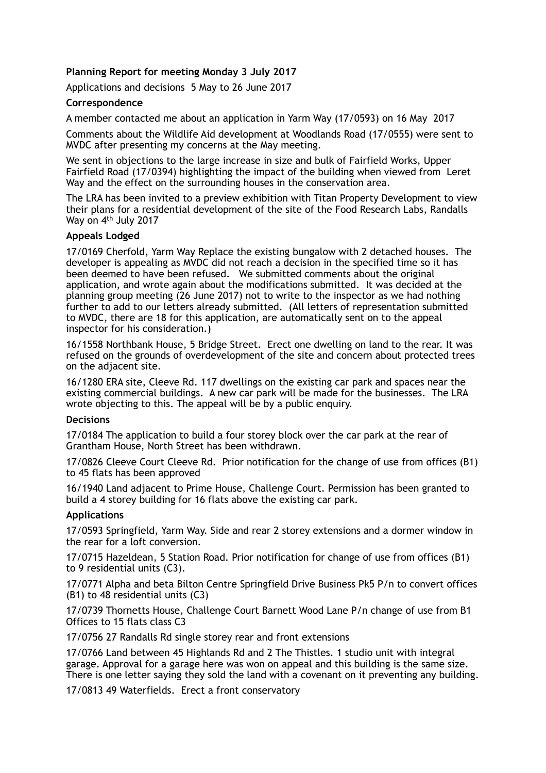# **Planning Report for meeting Monday 3 July 2017**

Applications and decisions 5 May to 26 June 2017

## **Correspondence**

A member contacted me about an application in Yarm Way (17/0593) on 16 May 2017

Comments about the Wildlife Aid development at Woodlands Road (17/0555) were sent to MVDC after presenting my concerns at the May meeting.

We sent in objections to the large increase in size and bulk of Fairfield Works, Upper Fairfield Road (17/0394) highlighting the impact of the building when viewed from Leret Way and the effect on the surrounding houses in the conservation area.

The LRA has been invited to a preview exhibition with Titan Property Development to view their plans for a residential development of the site of the Food Research Labs, Randalls Way on 4<sup>th</sup> July 2017

#### **Appeals Lodged**

17/0169 Cherfold, Yarm Way Replace the existing bungalow with 2 detached houses. The developer is appealing as MVDC did not reach a decision in the specified time so it has been deemed to have been refused. We submitted comments about the original application, and wrote again about the modifications submitted. It was decided at the planning group meeting (26 June 2017) not to write to the inspector as we had nothing further to add to our letters already submitted. (All letters of representation submitted to MVDC, there are 18 for this application, are automatically sent on to the appeal inspector for his consideration.)

16/1558 Northbank House, 5 Bridge Street. Erect one dwelling on land to the rear. It was refused on the grounds of overdevelopment of the site and concern about protected trees on the adjacent site.

16/1280 ERA site, Cleeve Rd. 117 dwellings on the existing car park and spaces near the existing commercial buildings. A new car park will be made for the businesses. The LRA wrote objecting to this. The appeal will be by a public enquiry.

## **Decisions**

17/0184 The application to build a four storey block over the car park at the rear of Grantham House, North Street has been withdrawn.

17/0826 Cleeve Court Cleeve Rd. Prior notification for the change of use from offices (B1) to 45 flats has been approved

16/1940 Land adjacent to Prime House, Challenge Court. Permission has been granted to build a 4 storey building for 16 flats above the existing car park.

#### **Applications**

17/0593 Springfield, Yarm Way. Side and rear 2 storey extensions and a dormer window in the rear for a loft conversion.

17/0715 Hazeldean, 5 Station Road. Prior notification for change of use from offices (B1) to 9 residential units (C3).

17/0771 Alpha and beta Bilton Centre Springfield Drive Business Pk5 P/n to convert offices (B1) to 48 residential units (C3)

17/0739 Thornetts House, Challenge Court Barnett Wood Lane P/n change of use from B1 Offices to 15 flats class C3

17/0756 27 Randalls Rd single storey rear and front extensions

17/0766 Land between 45 Highlands Rd and 2 The Thistles. 1 studio unit with integral garage. Approval for a garage here was won on appeal and this building is the same size. There is one letter saying they sold the land with a covenant on it preventing any building.

17/0813 49 Waterfields. Erect a front conservatory